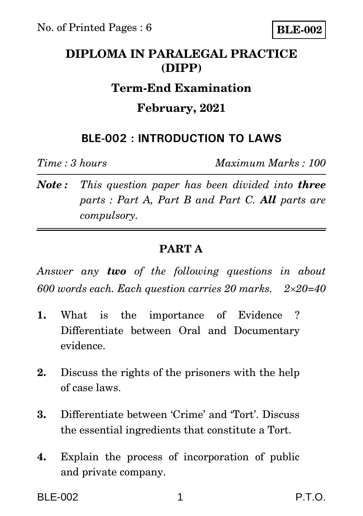# **DIPLOMA IN PARALEGAL PRACTICE (DIPP)**

### **Term-End Examination**

## **February, 2021**

## **BLE-002 : INTRODUCTION TO LAWS**

*Time : 3 hours Maximum Marks : 100*

*Note : This question paper has been divided into three parts : Part A, Part B and Part C. All parts are compulsory.* 

### **PART A**

*Answer any two of the following questions in about 600 words each. Each question carries 20 marks. 220=40*

- **1.** What is the importance of Evidence ? Differentiate between Oral and Documentary evidence.
- **2.** Discuss the rights of the prisoners with the help of case laws.
- **3.** Differentiate between 'Crime' and 'Tort'. Discuss the essential ingredients that constitute a Tort.
- **4.** Explain the process of incorporation of public and private company.

BLE-002 1 P.T.O.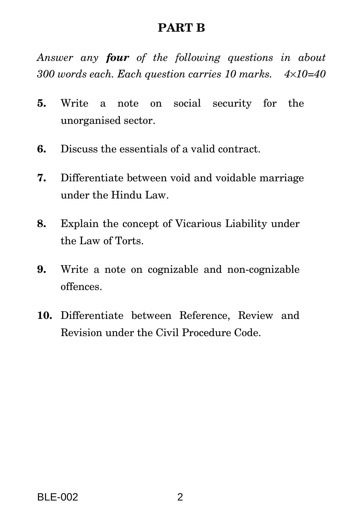### **PART B**

*Answer any four of the following questions in about 300 words each. Each question carries 10 marks. 410=40*

- **5.** Write a note on social security for the unorganised sector.
- **6.** Discuss the essentials of a valid contract.
- **7.** Differentiate between void and voidable marriage under the Hindu Law.
- **8.** Explain the concept of Vicarious Liability under the Law of Torts.
- **9.** Write a note on cognizable and non-cognizable offences.
- **10.** Differentiate between Reference, Review and Revision under the Civil Procedure Code.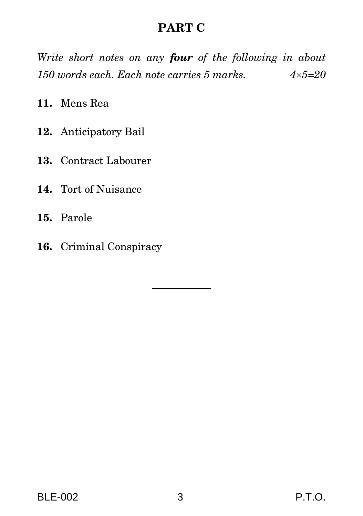## **PART C**

*Write short notes on any four of the following in about 150 words each. Each note carries 5 marks. 45=20*

**11.** Mens Rea

- **12.** Anticipatory Bail
- **13.** Contract Labourer
- **14.** Tort of Nuisance
- **15.** Parole
- **16.** Criminal Conspiracy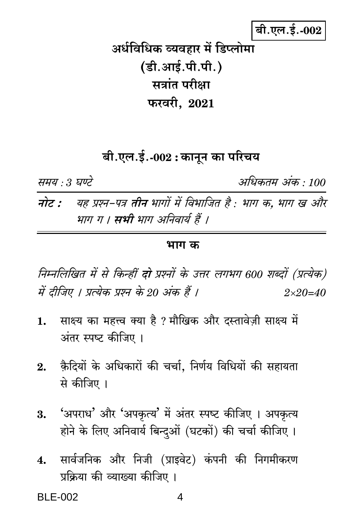# बी.एल.ई.-002

अर्धविधिक व्यवहार में डिप्लोमा (डी.आई.पी.पी.) सत्रांत परीक्षा फरवरी, 2021

# बी.एल.ई.-002 : कानून का परिचय

समय : 3 घण्टे

अधिकतम अंक · 100

यह प्रश्न-पत्र **तीन** भागों में विभाजित है : भाग क. भाग ख और नोट : भाग ग । सभी भाग अनिवार्य हैं ।

#### भाग क

निम्नलिखित में से किन्हीं **दो** प्रश्नों के उत्तर लगभग 600 शब्दों (प्रत्येक) में दीजिए । प्रत्येक प्रश्न के 20 अंक हैं ।  $2 \times 20 = 40$ 

- साक्ष्य का महत्त्व क्या है ? मौखिक और दस्तावेज़ी साक्ष्य में  $1.$ अंतर स्पष्ट कीजिए ।
- कैदियों के अधिकारों की चर्चा. निर्णय विधियों की सहायता 2. से कीजिए ।
- 'अपराध' और 'अपकृत्य' में अंतर स्पष्ट कीजिए । अपकृत्य 3. होने के लिए अनिवार्य बिन्दुओं (घटकों) की चर्चा कीजिए।
- सार्वजनिक और निजी (प्राइवेट) कंपनी की निगमीकरण  $\boldsymbol{4}$ . प्रक्रिया की व्याख्या कीजिए ।

**BI F-002**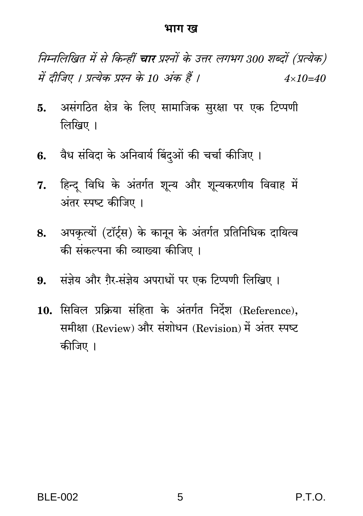#### भाग ख

निम्नलिखित में से किन्हीं चार प्रश्नों के उत्तर लगभग 300 शब्दों (प्रत्येक) में दीजिए । प्रत्येक प्रश्न के 10 अंक हैं ।  $4 \times 10 = 40$ 

- असंगठित क्षेत्र के लिए सामाजिक सुरक्षा पर एक टिप्पणी 5. लिखिए ।
- 6. वैध संविदा के अनिवार्य बिंदओं की चर्चा कीजिए ।
- हिन्द विधि के अंतर्गत शून्य और शून्यकरणीय विवाह में 7. अंतर स्पष्ट कीजिए ।
- अपकृत्यों (टॉर्टस) के कानून के अंतर्गत प्रतिनिधिक दायित्व 8. की संकल्पना की व्याख्या कीजिए ।
- 9. संजेय और गैर-संज्ञेय अपराधों पर एक टिप्पणी लिखिए ।
- 10. सिविल प्रक्रिया संहिता के अंतर्गत निर्देश (Reference). समीक्षा (Review) और संशोधन (Revision) में अंतर स्पष्ट कीजिए ।

P.T.O.